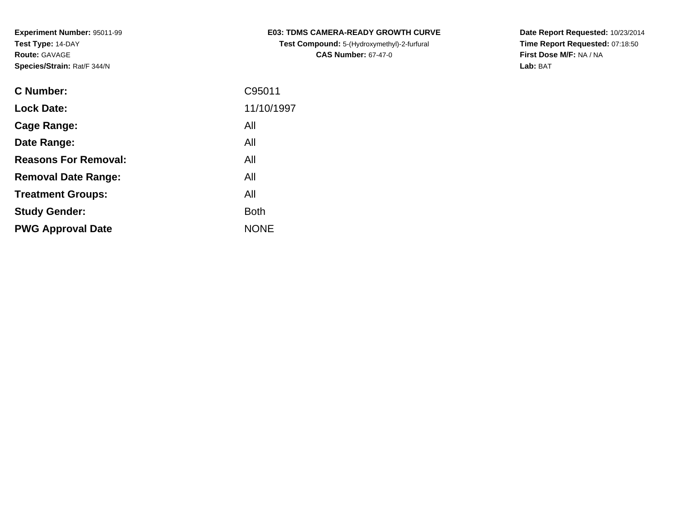| C Number:                   | C95011      |
|-----------------------------|-------------|
| <b>Lock Date:</b>           | 11/10/1997  |
| Cage Range:                 | All         |
| Date Range:                 | All         |
| <b>Reasons For Removal:</b> | All         |
| <b>Removal Date Range:</b>  | All         |
| <b>Treatment Groups:</b>    | All         |
| <b>Study Gender:</b>        | <b>Both</b> |
| <b>PWG Approval Date</b>    | <b>NONE</b> |
|                             |             |

**E03: TDMS CAMERA-READY GROWTH CURVETest Compound:** 5-(Hydroxymethyl)-2-furfural **CAS Number:** 67-47-0

**Date Report Requested:** 10/23/2014 **Time Report Requested:** 07:18:50**First Dose M/F:** NA / NA**Lab:** BAT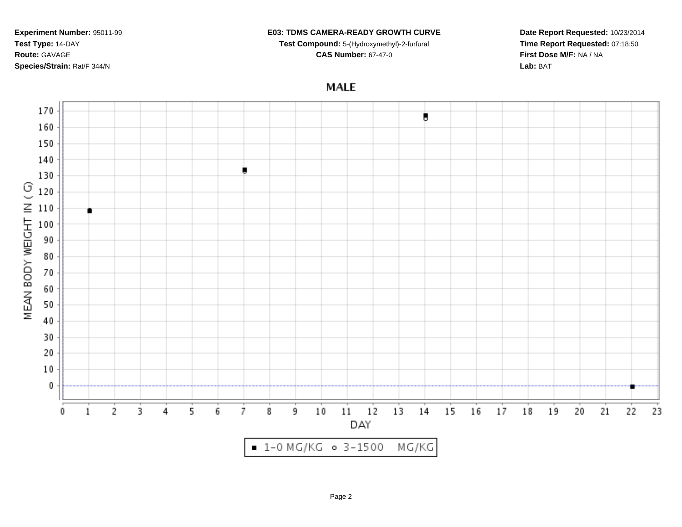#### **E03: TDMS CAMERA-READY GROWTH CURVE**

**Test Compound:** 5-(Hydroxymethyl)-2-furfural

**CAS Number:** 67-47-0

**Date Report Requested:** 10/23/2014**Time Report Requested:** 07:18:50**First Dose M/F:** NA / NA**Lab:** BAT

## **MALE**

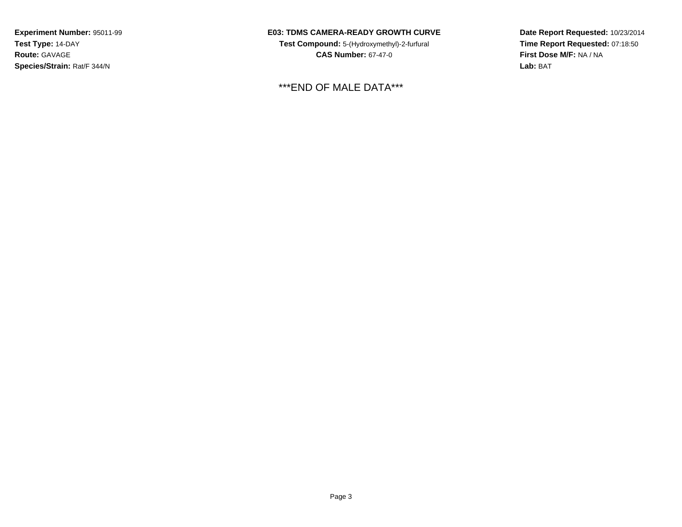## **E03: TDMS CAMERA-READY GROWTH CURVE**

**Test Compound:** 5-(Hydroxymethyl)-2-furfural **CAS Number:** 67-47-0

\*\*\*END OF MALE DATA\*\*\*

**Date Report Requested:** 10/23/2014**Time Report Requested:** 07:18:50**First Dose M/F:** NA / NA**Lab:** BAT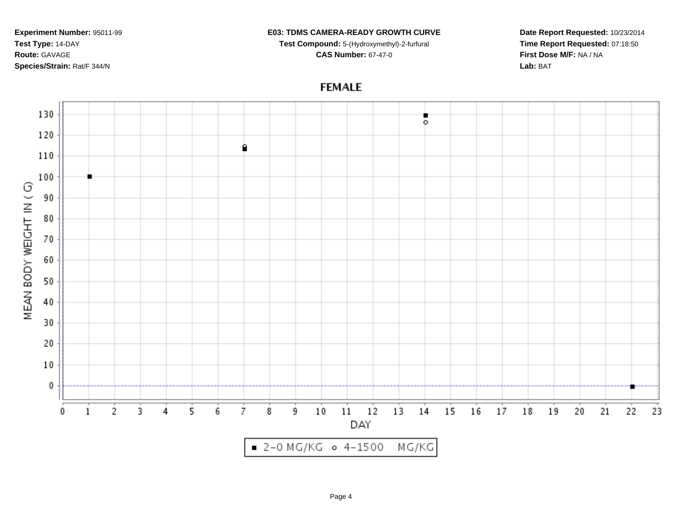#### **E03: TDMS CAMERA-READY GROWTH CURVE**

**Test Compound:** 5-(Hydroxymethyl)-2-furfural **CAS Number:** 67-47-0

**Date Report Requested:** 10/23/2014**Time Report Requested:** 07:18:50**First Dose M/F:** NA / NA**Lab:** BAT

# **FEMALE**